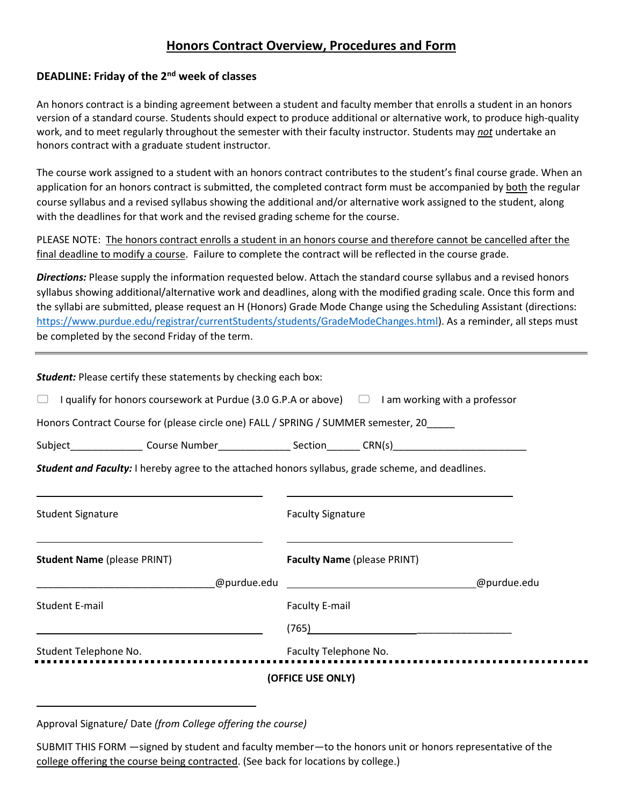# **Honors Contract Overview, Procedures and Form**

## **DEADLINE: Friday of the 2nd week of classes**

An honors contract is a binding agreement between a student and faculty member that enrolls a student in an honors version of a standard course. Students should expect to produce additional or alternative work, to produce high-quality work, and to meet regularly throughout the semester with their faculty instructor. Students may *not* undertake an honors contract with a graduate student instructor.

The course work assigned to a student with an honors contract contributes to the student's final course grade. When an application for an honors contract is submitted, the completed contract form must be accompanied by both the regular course syllabus and a revised syllabus showing the additional and/or alternative work assigned to the student, along with the deadlines for that work and the revised grading scheme for the course.

PLEASE NOTE: The honors contract enrolls a student in an honors course and therefore cannot be cancelled after the final deadline to modify a course. Failure to complete the contract will be reflected in the course grade.

*Directions:* Please supply the information requested below. Attach the standard course syllabus and a revised honors syllabus showing additional/alternative work and deadlines, along with the modified grading scale. Once this form and the syllabi are submitted, please request an H (Honors) Grade Mode Change using the Scheduling Assistant (directions: [https://www.purdue.edu/registrar/currentStudents/students/GradeModeChanges.html\)](https://www.purdue.edu/registrar/currentStudents/students/GradeModeChanges.html). As a reminder, all steps must be completed by the second Friday of the term.

|                                    | <b>Student:</b> Please certify these statements by checking each box:                                      |                                    |  |  |             |  |
|------------------------------------|------------------------------------------------------------------------------------------------------------|------------------------------------|--|--|-------------|--|
|                                    | $\Box$ I qualify for honors coursework at Purdue (3.0 G.P.A or above) $\Box$ I am working with a professor |                                    |  |  |             |  |
|                                    | Honors Contract Course for (please circle one) FALL / SPRING / SUMMER semester, 20                         |                                    |  |  |             |  |
|                                    | Subject__________________Course Number__________________Section________ CRN(s)___________________________  |                                    |  |  |             |  |
|                                    | Student and Faculty: I hereby agree to the attached honors syllabus, grade scheme, and deadlines.          |                                    |  |  |             |  |
|                                    |                                                                                                            |                                    |  |  |             |  |
| <b>Student Signature</b>           |                                                                                                            | <b>Faculty Signature</b>           |  |  |             |  |
|                                    |                                                                                                            |                                    |  |  |             |  |
| <b>Student Name (please PRINT)</b> |                                                                                                            | <b>Faculty Name (please PRINT)</b> |  |  |             |  |
|                                    |                                                                                                            |                                    |  |  | @purdue.edu |  |
| <b>Student E-mail</b>              |                                                                                                            | <b>Faculty E-mail</b>              |  |  |             |  |
|                                    |                                                                                                            |                                    |  |  |             |  |
| Student Telephone No.              |                                                                                                            | Faculty Telephone No.              |  |  |             |  |
|                                    |                                                                                                            | (OFFICE USE ONLY)                  |  |  |             |  |
|                                    |                                                                                                            |                                    |  |  |             |  |

Approval Signature/ Date *(from College offering the course)*

 $\overline{\phantom{0}}$ 

SUBMIT THIS FORM —signed by student and faculty member—to the honors unit or honors representative of the college offering the course being contracted. (See back for locations by college.)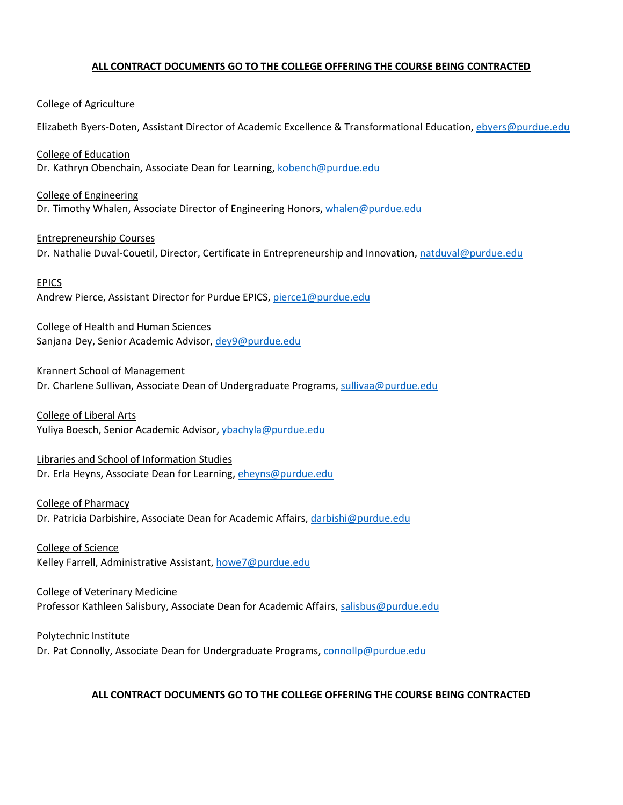#### **ALL CONTRACT DOCUMENTS GO TO THE COLLEGE OFFERING THE COURSE BEING CONTRACTED**

#### College of Agriculture

Elizabeth Byers-Doten, Assistant Director of Academic Excellence & Transformational Education, [ebyers@purdue.edu](mailto:ebyers@purdue.edu)

College of Education Dr. Kathryn Obenchain, Associate Dean for Learning[, kobench@purdue.edu](mailto:kobench@purdue.edu)

College of Engineering Dr. Timothy Whalen, Associate Director of Engineering Honors[, whalen@purdue.edu](mailto:whalen@purdue.edu)

Entrepreneurship Courses Dr. Nathalie Duval-Couetil, Director, Certificate in Entrepreneurship and Innovation[, natduval@purdue.edu](mailto:natduval@purdue.edu)

#### EPICS

Andrew Pierce, Assistant Director for Purdue EPICS[, pierce1@purdue.edu](mailto:pierce1@purdue.edu)

College of Health and Human Sciences Sanjana Dey, Senior Academic Advisor[, dey9@purdue.edu](mailto:dey9@purdue.edu)

Krannert School of Management

Dr. Charlene Sullivan, Associate Dean of Undergraduate Programs, [sullivaa@purdue.edu](mailto:sullivaa@purdue.edu)

College of Liberal Arts Yuliya Boesch, Senior Academic Advisor, [ybachyla@purdue.edu](mailto:ybachyla@purdue.edu)

Libraries and School of Information Studies Dr. Erla Heyns, Associate Dean for Learning, [eheyns@purdue.edu](mailto:eheyns@purdue.edu)

College of Pharmacy

Dr. Patricia Darbishire, Associate Dean for Academic Affairs[, darbishi@purdue.edu](mailto:darbishi@purdue.edu)

College of Science Kelley Farrell, Administrative Assistant[, howe7@purdue.edu](mailto:howe7@purdue.edu)

College of Veterinary Medicine Professor Kathleen Salisbury, Associate Dean for Academic Affairs[, salisbus@purdue.edu](mailto:salisbus@purdue.edu)

Polytechnic Institute Dr. Pat Connolly, Associate Dean for Undergraduate Programs, [connollp@purdue.edu](mailto:connollp@purdue.edu)

#### **ALL CONTRACT DOCUMENTS GO TO THE COLLEGE OFFERING THE COURSE BEING CONTRACTED**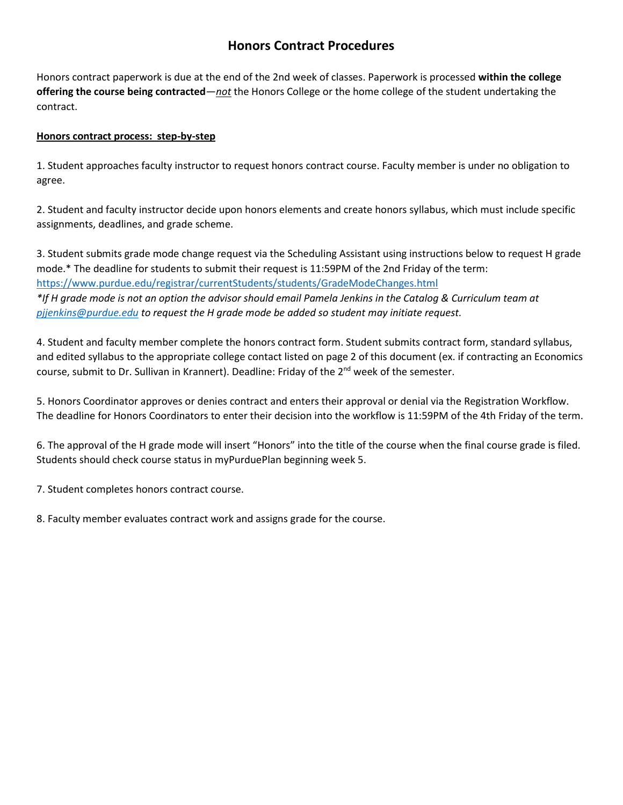# **Honors Contract Procedures**

Honors contract paperwork is due at the end of the 2nd week of classes. Paperwork is processed **within the college offering the course being contracted**—*not* the Honors College or the home college of the student undertaking the contract.

#### **Honors contract process: step-by-step**

1. Student approaches faculty instructor to request honors contract course. Faculty member is under no obligation to agree.

2. Student and faculty instructor decide upon honors elements and create honors syllabus, which must include specific assignments, deadlines, and grade scheme.

3. Student submits grade mode change request via the Scheduling Assistant using instructions below to request H grade mode.\* The deadline for students to submit their request is 11:59PM of the 2nd Friday of the term: <https://www.purdue.edu/registrar/currentStudents/students/GradeModeChanges.html> *\*If H grade mode is not an option the advisor should email Pamela Jenkins in the Catalog & Curriculum team at [pjjenkins@purdue.edu](mailto:pjjenkins@purdue.edu) to request the H grade mode be added so student may initiate request.*

4. Student and faculty member complete the honors contract form. Student submits contract form, standard syllabus, and edited syllabus to the appropriate college contact listed on page 2 of this document (ex. if contracting an Economics course, submit to Dr. Sullivan in Krannert). Deadline: Friday of the 2<sup>nd</sup> week of the semester.

5. Honors Coordinator approves or denies contract and enters their approval or denial via the Registration Workflow. The deadline for Honors Coordinators to enter their decision into the workflow is 11:59PM of the 4th Friday of the term.

6. The approval of the H grade mode will insert "Honors" into the title of the course when the final course grade is filed. Students should check course status in myPurduePlan beginning week 5.

7. Student completes honors contract course.

8. Faculty member evaluates contract work and assigns grade for the course.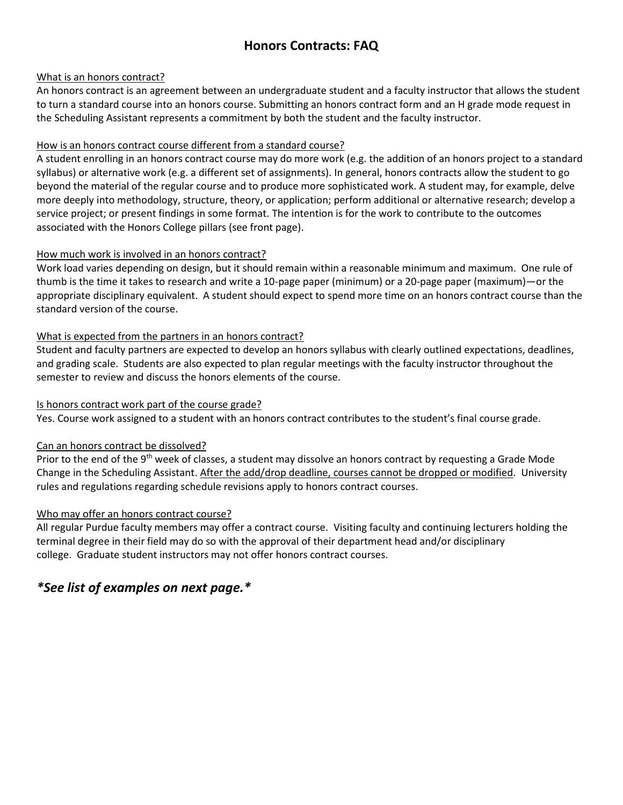# **Honors Contracts: FAQ**

#### What is an honors contract?

An honors contract is an agreement between an undergraduate student and a faculty instructor that allows the student to turn a standard course into an honors course. Submitting an honors contract form and an H grade mode request in the Scheduling Assistant represents a commitment by both the student and the faculty instructor.

### How is an honors contract course different from a standard course?

A student enrolling in an honors contract course may do more work (e.g. the addition of an honors project to a standard syllabus) or alternative work (e.g. a different set of assignments). In general, honors contracts allow the student to go beyond the material of the regular course and to produce more sophisticated work. A student may, for example, delve more deeply into methodology, structure, theory, or application; perform additional or alternative research; develop a service project; or present findings in some format. The intention is for the work to contribute to the outcomes associated with the Honors College pillars (see front page).

#### How much work is involved in an honors contract?

Work load varies depending on design, but it should remain within a reasonable minimum and maximum. One rule of thumb is the time it takes to research and write a 10-page paper (minimum) or a 20-page paper (maximum)—or the appropriate disciplinary equivalent. A student should expect to spend more time on an honors contract course than the standard version of the course.

#### What is expected from the partners in an honors contract?

Student and faculty partners are expected to develop an honors syllabus with clearly outlined expectations, deadlines, and grading scale. Students are also expected to plan regular meetings with the faculty instructor throughout the semester to review and discuss the honors elements of the course.

#### Is honors contract work part of the course grade?

Yes. Course work assigned to a student with an honors contract contributes to the student's final course grade.

## Can an honors contract be dissolved?

Prior to the end of the 9<sup>th</sup> week of classes, a student may dissolve an honors contract by requesting a Grade Mode Change in the Scheduling Assistant. After the add/drop deadline, courses cannot be dropped or modified. University rules and regulations regarding schedule revisions apply to honors contract courses.

## Who may offer an honors contract course?

All regular Purdue faculty members may offer a contract course. Visiting faculty and continuing lecturers holding the terminal degree in their field may do so with the approval of their department head and/or disciplinary college. Graduate student instructors may not offer honors contract courses.

# *\*See list of examples on next page.\**